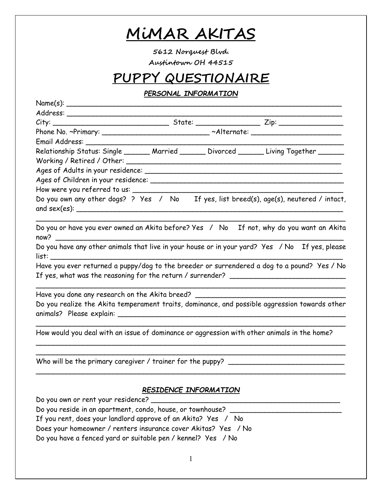# **MiMAR AKITAS**

**5612 Norquest Blvd. Austintown OH 44515** 

## **PUPPY QUESTIONAIRE**

### *PERSONAL INFORMATION*

| Name(s):                                                                                    |                       |                                                                                                                                                                                 |
|---------------------------------------------------------------------------------------------|-----------------------|---------------------------------------------------------------------------------------------------------------------------------------------------------------------------------|
|                                                                                             |                       |                                                                                                                                                                                 |
|                                                                                             |                       |                                                                                                                                                                                 |
|                                                                                             |                       | Phone No. ~Primary: ____________________________ ~Alternate: ___________________                                                                                                |
|                                                                                             |                       |                                                                                                                                                                                 |
|                                                                                             |                       | Relationship Status: Single _______ Married _______ Divorced ______ Living Together ______                                                                                      |
|                                                                                             |                       |                                                                                                                                                                                 |
|                                                                                             |                       |                                                                                                                                                                                 |
|                                                                                             |                       |                                                                                                                                                                                 |
|                                                                                             |                       |                                                                                                                                                                                 |
|                                                                                             |                       | Do you own any other dogs? ? Yes / No If yes, list breed(s), age(s), neutered / intact,                                                                                         |
| now?                                                                                        |                       | Do you or have you ever owned an Akita before? Yes / No If not, why do you want an Akita                                                                                        |
|                                                                                             |                       | Do you have any other animals that live in your house or in your yard? Yes / No If yes, please                                                                                  |
|                                                                                             |                       | Have you ever returned a puppy/dog to the breeder or surrendered a dog to a pound? Yes / No<br>If yes, what was the reasoning for the return / surrender? _____________________ |
| Have you done any research on the Akita breed? __________________________________           |                       |                                                                                                                                                                                 |
|                                                                                             |                       | Do you realize the Akita temperament traits, dominance, and possible aggression towards other                                                                                   |
| How would you deal with an issue of dominance or aggression with other animals in the home? |                       |                                                                                                                                                                                 |
|                                                                                             |                       |                                                                                                                                                                                 |
|                                                                                             | RESIDENCE INFORMATION |                                                                                                                                                                                 |
| Do you own or rent your residence?                                                          |                       |                                                                                                                                                                                 |
| Do you reside in an apartment, condo, house, or townhouse?                                  |                       |                                                                                                                                                                                 |
| If you rent, does your landlord approve of an Akita? Yes / No                               |                       |                                                                                                                                                                                 |
| Does your homeowner / renters insurance cover Akitas? Yes / No                              |                       |                                                                                                                                                                                 |
| Do you have a fenced yard or suitable pen / kennel? Yes / No                                |                       |                                                                                                                                                                                 |
|                                                                                             |                       |                                                                                                                                                                                 |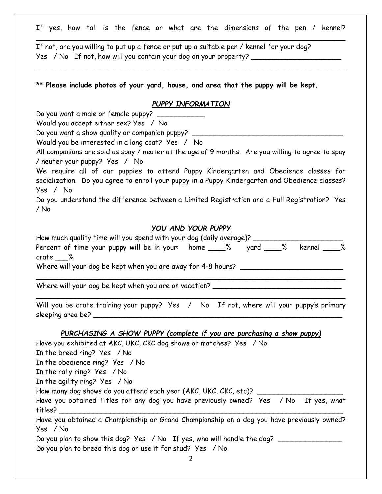If yes, how tall is the fence or what are the dimensions of the pen / kennel?  $\overline{\phantom{a}}$  , and the contract of the contract of the contract of the contract of the contract of the contract of the contract of the contract of the contract of the contract of the contract of the contract of the contrac

If not, are you willing to put up a fence or put up a suitable pen / kennel for your dog? Yes / No If not, how will you contain your dog on your property?

**\*\* Please include photos of your yard, house, and area that the puppy will be kept.** 

#### *PUPPY INFORMATION*

 $\overline{\phantom{a}}$  , and the contract of the contract of the contract of the contract of the contract of the contract of the contract of the contract of the contract of the contract of the contract of the contract of the contrac

Do you want a male or female puppy?

Would you accept either sex? Yes / No

Do you want a show quality or companion puppy?

Would you be interested in a long coat? Yes / No

All companions are sold as spay / neuter at the age of 9 months. Are you willing to agree to spay / neuter your puppy? Yes / No

We require all of our puppies to attend Puppy Kindergarten and Obedience classes for socialization. Do you agree to enroll your puppy in a Puppy Kindergarten and Obedience classes? Yes / No

Do you understand the difference between a Limited Registration and a Full Registration? Yes / No

### *YOU AND YOUR PUPPY*

| $crate_$ %                                                                                 |  |  |  |
|--------------------------------------------------------------------------------------------|--|--|--|
| Where will your dog be kept when you are away for 4-8 hours? ____________________          |  |  |  |
| Where will your dog be kept when you are on vacation? ___________________________          |  |  |  |
| Will you be crate training your puppy? Yes / No If not, where will your puppy's primary    |  |  |  |
| PURCHASING A SHOW PUPPY (complete if you are purchasing a show puppy)                      |  |  |  |
| Have you exhibited at AKC, UKC, CKC dog shows or matches? Yes / No                         |  |  |  |
| In the breed ring? Yes / No                                                                |  |  |  |
| In the obedience ring? Yes / No                                                            |  |  |  |
| In the rally ring? Yes / No                                                                |  |  |  |
| In the agility ring? Yes / No                                                              |  |  |  |
| How many dog shows do you attend each year (AKC, UKC, CKC, etc)? ______________________    |  |  |  |
| Have you obtained Titles for any dog you have previously owned? Yes / No If yes, what      |  |  |  |
| Have you obtained a Championship or Grand Championship on a dog you have previously owned? |  |  |  |
| Yes / No                                                                                   |  |  |  |
| Do you plan to show this dog? Yes / No If yes, who will handle the dog?                    |  |  |  |
| Do you plan to breed this dog or use it for stud? Yes / No                                 |  |  |  |
| 2                                                                                          |  |  |  |